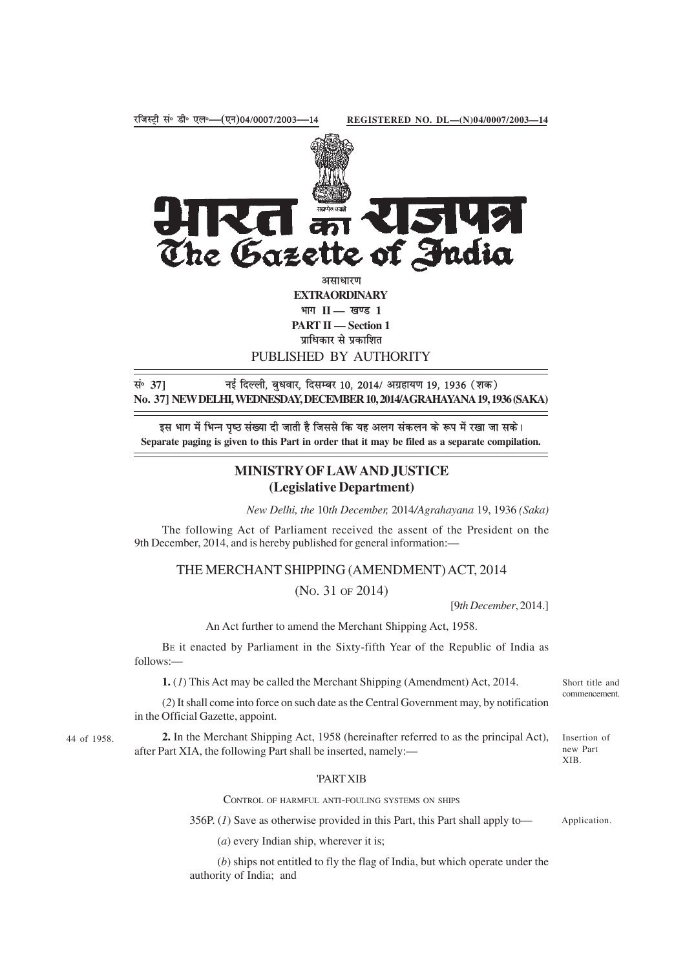

**EXTRAORDINARY** भाग II — खण्ड 1 **PART II — Section 1** पाधिकार से प्रकाशित PUBLISHED BY AUTHORITY

सं॰ 37] **बिल्ली, बुधवार, दिसम्बर 10, 2014/ अग्रहायण 19, 1936 (शक) No. 37] NEW DELHI, WEDNESDAY, DECEMBER 10, 2014/AGRAHAYANA 19, 1936 (SAKA)**

इस भाग में भिन्न पष्ठ संख्या दी जाती है जिससे कि यह अलग संकलन के रूप में रखा जा सके। **Separate paging is given to this Part in order that it may be filed as a separate compilation.**

## **MINISTRY OF LAW AND JUSTICE (Legislative Department)**

*New Delhi, the* 10*th December,* 2014*/Agrahayana* 19, 1936 *(Saka)*

The following Act of Parliament received the assent of the President on the 9th December, 2014, and is hereby published for general information:—

THE MERCHANT SHIPPING (AMENDMENT) ACT, 2014

(NO. 31 OF 2014)

[9*th December*, 2014.]

An Act further to amend the Merchant Shipping Act, 1958.

BE it enacted by Parliament in the Sixty-fifth Year of the Republic of India as follows:—

**1.** (*1*) This Act may be called the Merchant Shipping (Amendment) Act, 2014.

(*2*) It shall come into force on such date as the Central Government may, by notification in the Official Gazette, appoint.

44 of 1958.

**2.** In the Merchant Shipping Act, 1958 (hereinafter referred to as the principal Act), after Part XIA, the following Part shall be inserted, namely:—

Insertion of

Short title and commencement.

new Part XIB.

## 'PART XIB

CONTROL OF HARMFUL ANTI-FOULING SYSTEMS ON SHIPS

356P. (*1*) Save as otherwise provided in this Part, this Part shall apply to— Application.

(*a*) every Indian ship, wherever it is;

(*b*) ships not entitled to fly the flag of India, but which operate under the authority of India; and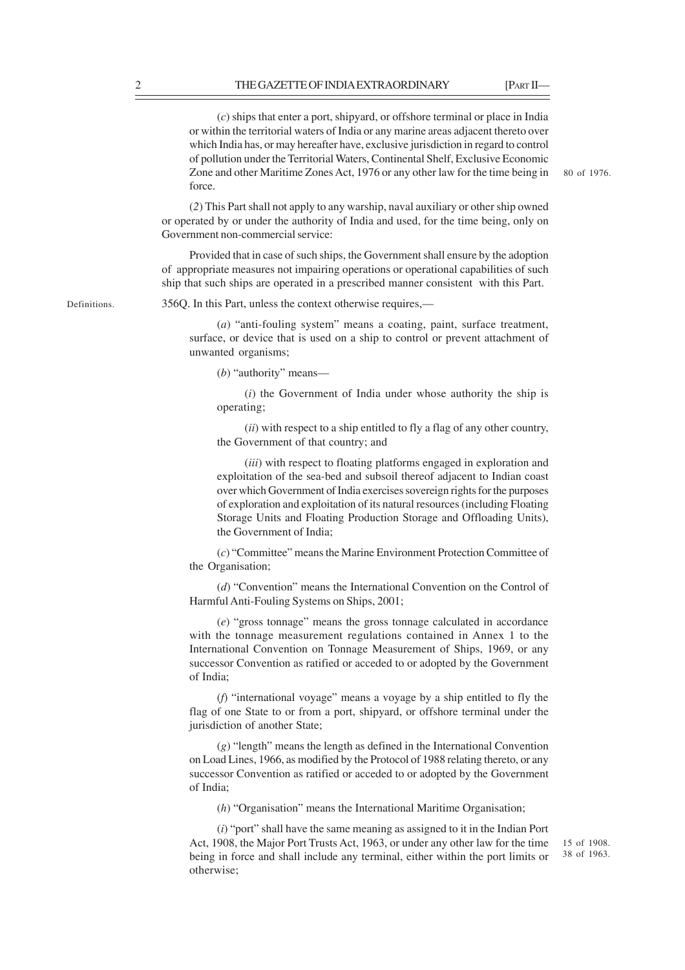(*c*) ships that enter a port, shipyard, or offshore terminal or place in India or within the territorial waters of India or any marine areas adjacent thereto over which India has, or may hereafter have, exclusive jurisdiction in regard to control of pollution under the Territorial Waters, Continental Shelf, Exclusive Economic Zone and other Maritime Zones Act, 1976 or any other law for the time being in force.

80 of 1976.

(*2*) This Part shall not apply to any warship, naval auxiliary or other ship owned or operated by or under the authority of India and used, for the time being, only on Government non-commercial service:

Provided that in case of such ships, the Government shall ensure by the adoption of appropriate measures not impairing operations or operational capabilities of such ship that such ships are operated in a prescribed manner consistent with this Part.

Definitions.

356Q. In this Part, unless the context otherwise requires,—

(*a*) "anti-fouling system" means a coating, paint, surface treatment, surface, or device that is used on a ship to control or prevent attachment of unwanted organisms;

(*b*) "authority" means—

(*i*) the Government of India under whose authority the ship is operating;

(*ii*) with respect to a ship entitled to fly a flag of any other country, the Government of that country; and

(*iii*) with respect to floating platforms engaged in exploration and exploitation of the sea-bed and subsoil thereof adjacent to Indian coast over which Government of India exercises sovereign rights for the purposes of exploration and exploitation of its natural resources (including Floating Storage Units and Floating Production Storage and Offloading Units), the Government of India;

(*c*) "Committee" means the Marine Environment Protection Committee of the Organisation;

(*d*) "Convention" means the International Convention on the Control of Harmful Anti-Fouling Systems on Ships, 2001;

(*e*) "gross tonnage" means the gross tonnage calculated in accordance with the tonnage measurement regulations contained in Annex 1 to the International Convention on Tonnage Measurement of Ships, 1969, or any successor Convention as ratified or acceded to or adopted by the Government of India;

(*f*) "international voyage" means a voyage by a ship entitled to fly the flag of one State to or from a port, shipyard, or offshore terminal under the jurisdiction of another State;

(*g*) "length" means the length as defined in the International Convention on Load Lines, 1966, as modified by the Protocol of 1988 relating thereto, or any successor Convention as ratified or acceded to or adopted by the Government of India;

(*h*) "Organisation" means the International Maritime Organisation;

(*i*) "port" shall have the same meaning as assigned to it in the Indian Port Act, 1908, the Major Port Trusts Act, 1963, or under any other law for the time being in force and shall include any terminal, either within the port limits or otherwise;

15 of 1908. 38 of 1963.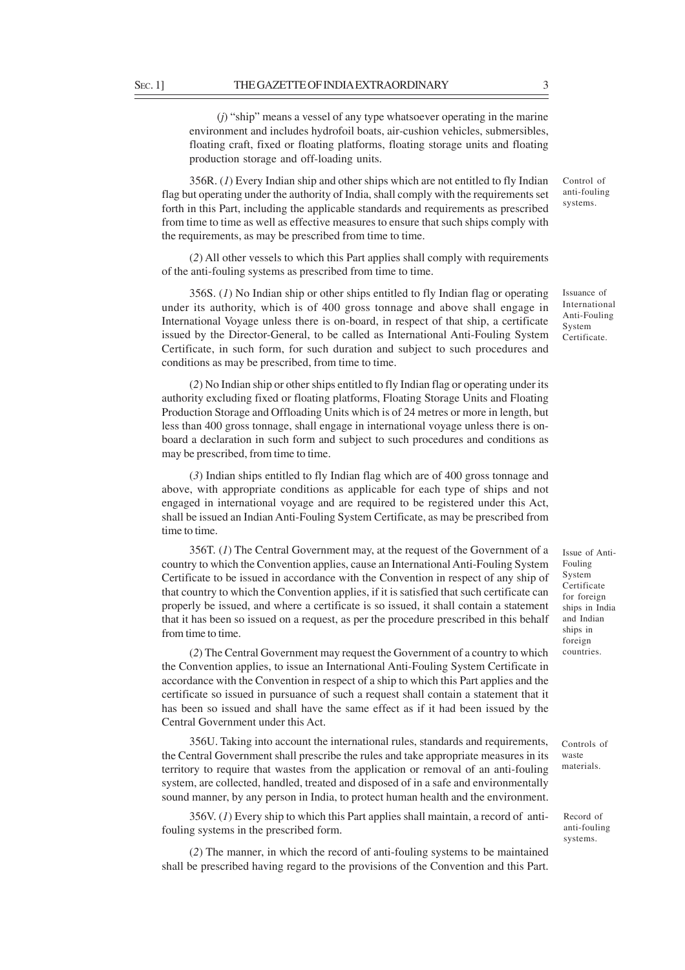(*j*) "ship" means a vessel of any type whatsoever operating in the marine environment and includes hydrofoil boats, air-cushion vehicles, submersibles, floating craft, fixed or floating platforms, floating storage units and floating production storage and off-loading units.

356R. (*1*) Every Indian ship and other ships which are not entitled to fly Indian flag but operating under the authority of India, shall comply with the requirements set forth in this Part, including the applicable standards and requirements as prescribed from time to time as well as effective measures to ensure that such ships comply with the requirements, as may be prescribed from time to time.

(*2*) All other vessels to which this Part applies shall comply with requirements of the anti-fouling systems as prescribed from time to time.

356S. (*1*) No Indian ship or other ships entitled to fly Indian flag or operating under its authority, which is of 400 gross tonnage and above shall engage in International Voyage unless there is on-board, in respect of that ship, a certificate issued by the Director-General, to be called as International Anti-Fouling System Certificate, in such form, for such duration and subject to such procedures and conditions as may be prescribed, from time to time.

(*2*) No Indian ship or other ships entitled to fly Indian flag or operating under its authority excluding fixed or floating platforms, Floating Storage Units and Floating Production Storage and Offloading Units which is of 24 metres or more in length, but less than 400 gross tonnage, shall engage in international voyage unless there is onboard a declaration in such form and subject to such procedures and conditions as may be prescribed, from time to time.

(*3*) Indian ships entitled to fly Indian flag which are of 400 gross tonnage and above, with appropriate conditions as applicable for each type of ships and not engaged in international voyage and are required to be registered under this Act, shall be issued an Indian Anti-Fouling System Certificate, as may be prescribed from time to time.

356T. (*1*) The Central Government may, at the request of the Government of a country to which the Convention applies, cause an International Anti-Fouling System Certificate to be issued in accordance with the Convention in respect of any ship of that country to which the Convention applies, if it is satisfied that such certificate can properly be issued, and where a certificate is so issued, it shall contain a statement that it has been so issued on a request, as per the procedure prescribed in this behalf from time to time.

(*2*) The Central Government may request the Government of a country to which the Convention applies, to issue an International Anti-Fouling System Certificate in accordance with the Convention in respect of a ship to which this Part applies and the certificate so issued in pursuance of such a request shall contain a statement that it has been so issued and shall have the same effect as if it had been issued by the Central Government under this Act.

356U. Taking into account the international rules, standards and requirements, the Central Government shall prescribe the rules and take appropriate measures in its territory to require that wastes from the application or removal of an anti-fouling system, are collected, handled, treated and disposed of in a safe and environmentally sound manner, by any person in India, to protect human health and the environment.

356V. (*1*) Every ship to which this Part applies shall maintain, a record of antifouling systems in the prescribed form.

(*2*) The manner, in which the record of anti-fouling systems to be maintained shall be prescribed having regard to the provisions of the Convention and this Part.

Issue of Anti-Fouling System Certificate for foreign ships in India and Indian ships in foreign countries.

Controls of waste materials.

Record of anti-fouling systems.

anti-fouling systems.

Control of

Issuance of International Anti-Fouling System Certificate.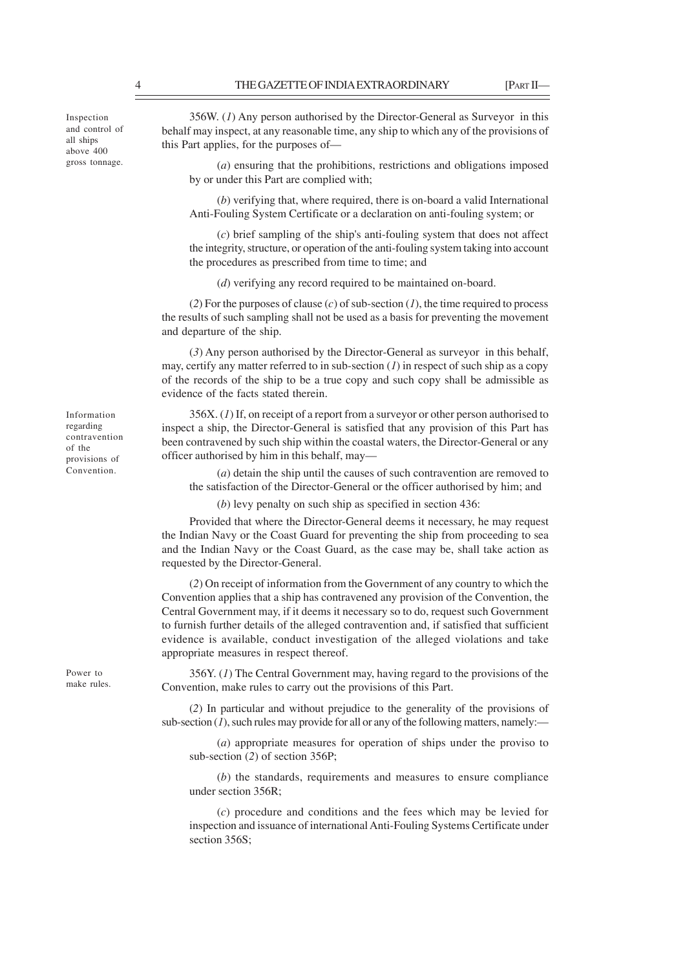Inspection and control of all ships above 400 gross tonnage.

Information regarding contravention of the provisions of Convention.

Power to make rules.

356W. (*1*) Any person authorised by the Director-General as Surveyor in this behalf may inspect, at any reasonable time, any ship to which any of the provisions of this Part applies, for the purposes of—

(*a*) ensuring that the prohibitions, restrictions and obligations imposed by or under this Part are complied with;

(*b*) verifying that, where required, there is on-board a valid International Anti-Fouling System Certificate or a declaration on anti-fouling system; or

(*c*) brief sampling of the ship's anti-fouling system that does not affect the integrity, structure, or operation of the anti-fouling system taking into account the procedures as prescribed from time to time; and

(*d*) verifying any record required to be maintained on-board.

(*2*) For the purposes of clause (*c*) of sub-section (*1*), the time required to process the results of such sampling shall not be used as a basis for preventing the movement and departure of the ship.

(*3*) Any person authorised by the Director-General as surveyor in this behalf, may, certify any matter referred to in sub-section (*1*) in respect of such ship as a copy of the records of the ship to be a true copy and such copy shall be admissible as evidence of the facts stated therein.

356X. (*1*) If, on receipt of a report from a surveyor or other person authorised to inspect a ship, the Director-General is satisfied that any provision of this Part has been contravened by such ship within the coastal waters, the Director-General or any officer authorised by him in this behalf, may—

(*a*) detain the ship until the causes of such contravention are removed to the satisfaction of the Director-General or the officer authorised by him; and

(*b*) levy penalty on such ship as specified in section 436:

Provided that where the Director-General deems it necessary, he may request the Indian Navy or the Coast Guard for preventing the ship from proceeding to sea and the Indian Navy or the Coast Guard, as the case may be, shall take action as requested by the Director-General.

(*2*) On receipt of information from the Government of any country to which the Convention applies that a ship has contravened any provision of the Convention, the Central Government may, if it deems it necessary so to do, request such Government to furnish further details of the alleged contravention and, if satisfied that sufficient evidence is available, conduct investigation of the alleged violations and take appropriate measures in respect thereof.

356Y. (*1*) The Central Government may, having regard to the provisions of the Convention, make rules to carry out the provisions of this Part.

(*2*) In particular and without prejudice to the generality of the provisions of sub-section  $(I)$ , such rules may provide for all or any of the following matters, namely:

(*a*) appropriate measures for operation of ships under the proviso to sub-section (*2*) of section 356P;

(*b*) the standards, requirements and measures to ensure compliance under section 356R;

(*c*) procedure and conditions and the fees which may be levied for inspection and issuance of international Anti-Fouling Systems Certificate under section 356S: